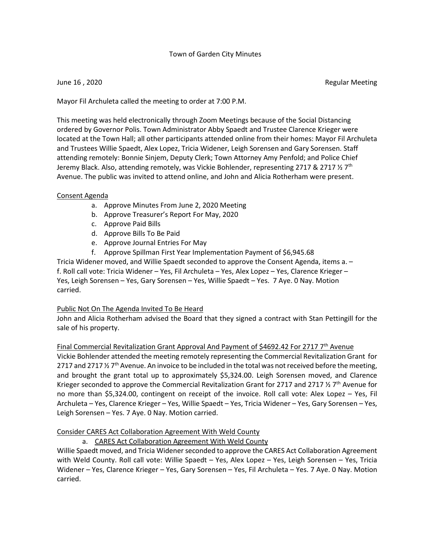### Town of Garden City Minutes

June 16 , 2020 Regular Meeting

Mayor Fil Archuleta called the meeting to order at 7:00 P.M.

This meeting was held electronically through Zoom Meetings because of the Social Distancing ordered by Governor Polis. Town Administrator Abby Spaedt and Trustee Clarence Krieger were located at the Town Hall; all other participants attended online from their homes: Mayor Fil Archuleta and Trustees Willie Spaedt, Alex Lopez, Tricia Widener, Leigh Sorensen and Gary Sorensen. Staff attending remotely: Bonnie Sinjem, Deputy Clerk; Town Attorney Amy Penfold; and Police Chief Jeremy Black. Also, attending remotely, was Vickie Bohlender, representing 2717 & 2717  $\frac{1}{2}$  7<sup>th</sup> Avenue. The public was invited to attend online, and John and Alicia Rotherham were present.

# Consent Agenda

- a. Approve Minutes From June 2, 2020 Meeting
- b. Approve Treasurer's Report For May, 2020
- c. Approve Paid Bills
- d. Approve Bills To Be Paid
- e. Approve Journal Entries For May
- f. Approve Spillman First Year Implementation Payment of \$6,945.68

Tricia Widener moved, and Willie Spaedt seconded to approve the Consent Agenda, items a. – f. Roll call vote: Tricia Widener – Yes, Fil Archuleta – Yes, Alex Lopez – Yes, Clarence Krieger – Yes, Leigh Sorensen – Yes, Gary Sorensen – Yes, Willie Spaedt – Yes. 7 Aye. 0 Nay. Motion carried.

# Public Not On The Agenda Invited To Be Heard

John and Alicia Rotherham advised the Board that they signed a contract with Stan Pettingill for the sale of his property.

# Final Commercial Revitalization Grant Approval And Payment of \$4692.42 For 2717  $7<sup>th</sup>$  Avenue

Vickie Bohlender attended the meeting remotely representing the Commercial Revitalization Grant for 2717 and 2717  $\frac{1}{2}$  7<sup>th</sup> Avenue. An invoice to be included in the total was not received before the meeting, and brought the grant total up to approximately \$5,324.00. Leigh Sorensen moved, and Clarence Krieger seconded to approve the Commercial Revitalization Grant for 2717 and 2717  $\frac{1}{2}$  7<sup>th</sup> Avenue for no more than \$5,324.00, contingent on receipt of the invoice. Roll call vote: Alex Lopez – Yes, Fil Archuleta – Yes, Clarence Krieger – Yes, Willie Spaedt – Yes, Tricia Widener – Yes, Gary Sorensen – Yes, Leigh Sorensen – Yes. 7 Aye. 0 Nay. Motion carried.

# Consider CARES Act Collaboration Agreement With Weld County

a. CARES Act Collaboration Agreement With Weld County

Willie Spaedt moved, and Tricia Widener seconded to approve the CARES Act Collaboration Agreement with Weld County. Roll call vote: Willie Spaedt - Yes, Alex Lopez - Yes, Leigh Sorensen - Yes, Tricia Widener – Yes, Clarence Krieger – Yes, Gary Sorensen – Yes, Fil Archuleta – Yes. 7 Aye. 0 Nay. Motion carried.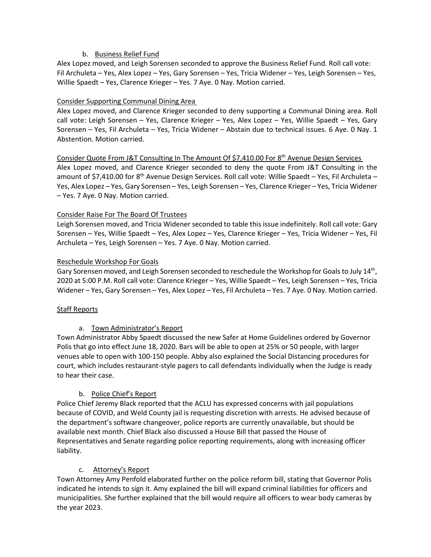# b. Business Relief Fund

Alex Lopez moved, and Leigh Sorensen seconded to approve the Business Relief Fund. Roll call vote: Fil Archuleta – Yes, Alex Lopez – Yes, Gary Sorensen – Yes, Tricia Widener – Yes, Leigh Sorensen – Yes, Willie Spaedt – Yes, Clarence Krieger – Yes. 7 Aye. 0 Nay. Motion carried.

#### Consider Supporting Communal Dining Area

Alex Lopez moved, and Clarence Krieger seconded to deny supporting a Communal Dining area. Roll call vote: Leigh Sorensen – Yes, Clarence Krieger – Yes, Alex Lopez – Yes, Willie Spaedt – Yes, Gary Sorensen – Yes, Fil Archuleta – Yes, Tricia Widener – Abstain due to technical issues. 6 Aye. 0 Nay. 1 Abstention. Motion carried.

#### Consider Quote From J&T Consulting In The Amount Of \$7,410.00 For 8th Avenue Design Services

Alex Lopez moved, and Clarence Krieger seconded to deny the quote From J&T Consulting in the amount of \$7,410.00 for 8<sup>th</sup> Avenue Design Services. Roll call vote: Willie Spaedt – Yes, Fil Archuleta – Yes, Alex Lopez – Yes, Gary Sorensen – Yes, Leigh Sorensen – Yes, Clarence Krieger – Yes, Tricia Widener – Yes. 7 Aye. 0 Nay. Motion carried.

#### Consider Raise For The Board Of Trustees

Leigh Sorensen moved, and Tricia Widener seconded to table this issue indefinitely. Roll call vote: Gary Sorensen – Yes, Willie Spaedt – Yes, Alex Lopez – Yes, Clarence Krieger – Yes, Tricia Widener – Yes, Fil Archuleta – Yes, Leigh Sorensen – Yes. 7 Aye. 0 Nay. Motion carried.

#### Reschedule Workshop For Goals

Gary Sorensen moved, and Leigh Sorensen seconded to reschedule the Workshop for Goals to July 14<sup>th</sup>, 2020 at 5:00 P.M. Roll call vote: Clarence Krieger – Yes, Willie Spaedt – Yes, Leigh Sorensen – Yes, Tricia Widener – Yes, Gary Sorensen – Yes, Alex Lopez – Yes, Fil Archuleta – Yes. 7 Aye. 0 Nay. Motion carried.

### Staff Reports

### a. Town Administrator's Report

Town Administrator Abby Spaedt discussed the new Safer at Home Guidelines ordered by Governor Polis that go into effect June 18, 2020. Bars will be able to open at 25% or 50 people, with larger venues able to open with 100-150 people. Abby also explained the Social Distancing procedures for court, which includes restaurant-style pagers to call defendants individually when the Judge is ready to hear their case.

### b. Police Chief's Report

Police Chief Jeremy Black reported that the ACLU has expressed concerns with jail populations because of COVID, and Weld County jail is requesting discretion with arrests. He advised because of the department's software changeover, police reports are currently unavailable, but should be available next month. Chief Black also discussed a House Bill that passed the House of Representatives and Senate regarding police reporting requirements, along with increasing officer liability.

### c. Attorney's Report

Town Attorney Amy Penfold elaborated further on the police reform bill, stating that Governor Polis indicated he intends to sign it. Amy explained the bill will expand criminal liabilities for officers and municipalities. She further explained that the bill would require all officers to wear body cameras by the year 2023.